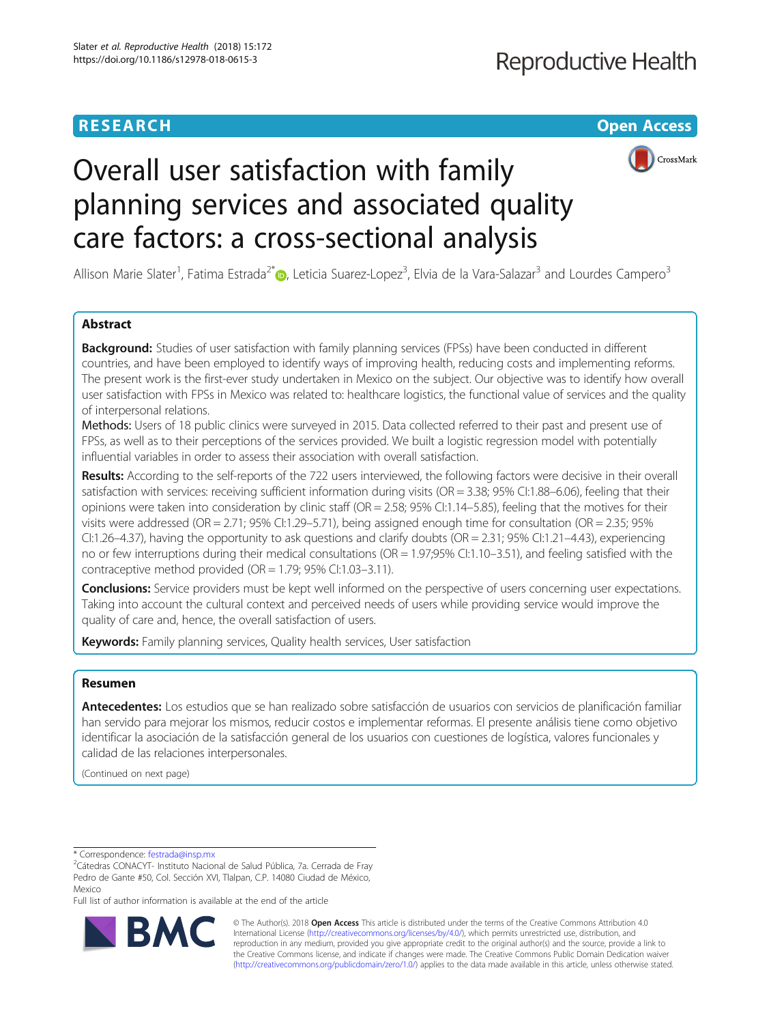# **RESEARCH CHE Open Access**



# Overall user satisfaction with family planning services and associated quality care factors: a cross-sectional analysis

Allison Marie Slater<sup>1</sup>, Fatima Estrada<sup>2\*</sup> D, Leticia Suarez-Lopez<sup>3</sup>, Elvia de la Vara-Salazar<sup>3</sup> and Lourdes Campero<sup>3</sup>

# Abstract

**Background:** Studies of user satisfaction with family planning services (FPSs) have been conducted in different countries, and have been employed to identify ways of improving health, reducing costs and implementing reforms. The present work is the first-ever study undertaken in Mexico on the subject. Our objective was to identify how overall user satisfaction with FPSs in Mexico was related to: healthcare logistics, the functional value of services and the quality of interpersonal relations.

Methods: Users of 18 public clinics were surveyed in 2015. Data collected referred to their past and present use of FPSs, as well as to their perceptions of the services provided. We built a logistic regression model with potentially influential variables in order to assess their association with overall satisfaction.

Results: According to the self-reports of the 722 users interviewed, the following factors were decisive in their overall satisfaction with services: receiving sufficient information during visits (OR = 3.38; 95% CI:1.88–6.06), feeling that their opinions were taken into consideration by clinic staff (OR = 2.58; 95% CI:1.14–5.85), feeling that the motives for their visits were addressed (OR = 2.71; 95% CI:1.29–5.71), being assigned enough time for consultation (OR = 2.35; 95% CI:1.26–4.37), having the opportunity to ask questions and clarify doubts (OR = 2.31; 95% CI:1.21–4.43), experiencing no or few interruptions during their medical consultations (OR = 1.97;95% CI:1.10–3.51), and feeling satisfied with the contraceptive method provided ( $OR = 1.79$ ;  $95\%$  CI:1.03-3.11).

Conclusions: Service providers must be kept well informed on the perspective of users concerning user expectations. Taking into account the cultural context and perceived needs of users while providing service would improve the quality of care and, hence, the overall satisfaction of users.

Keywords: Family planning services, Quality health services, User satisfaction

# Resumen

Antecedentes: Los estudios que se han realizado sobre satisfacción de usuarios con servicios de planificación familiar han servido para mejorar los mismos, reducir costos e implementar reformas. El presente análisis tiene como objetivo identificar la asociación de la satisfacción general de los usuarios con cuestiones de logística, valores funcionales y calidad de las relaciones interpersonales.

(Continued on next page)

Full list of author information is available at the end of the article



© The Author(s). 2018 Open Access This article is distributed under the terms of the Creative Commons Attribution 4.0 International License [\(http://creativecommons.org/licenses/by/4.0/](http://creativecommons.org/licenses/by/4.0/)), which permits unrestricted use, distribution, and reproduction in any medium, provided you give appropriate credit to the original author(s) and the source, provide a link to the Creative Commons license, and indicate if changes were made. The Creative Commons Public Domain Dedication waiver [\(http://creativecommons.org/publicdomain/zero/1.0/](http://creativecommons.org/publicdomain/zero/1.0/)) applies to the data made available in this article, unless otherwise stated.

<sup>\*</sup> Correspondence: [festrada@insp.mx](mailto:festrada@insp.mx) <sup>2</sup>

 $2C$ átedras CONACYT- Instituto Nacional de Salud Pública, 7a. Cerrada de Fray Pedro de Gante #50, Col. Sección XVI, Tlalpan, C.P. 14080 Ciudad de México, Mexico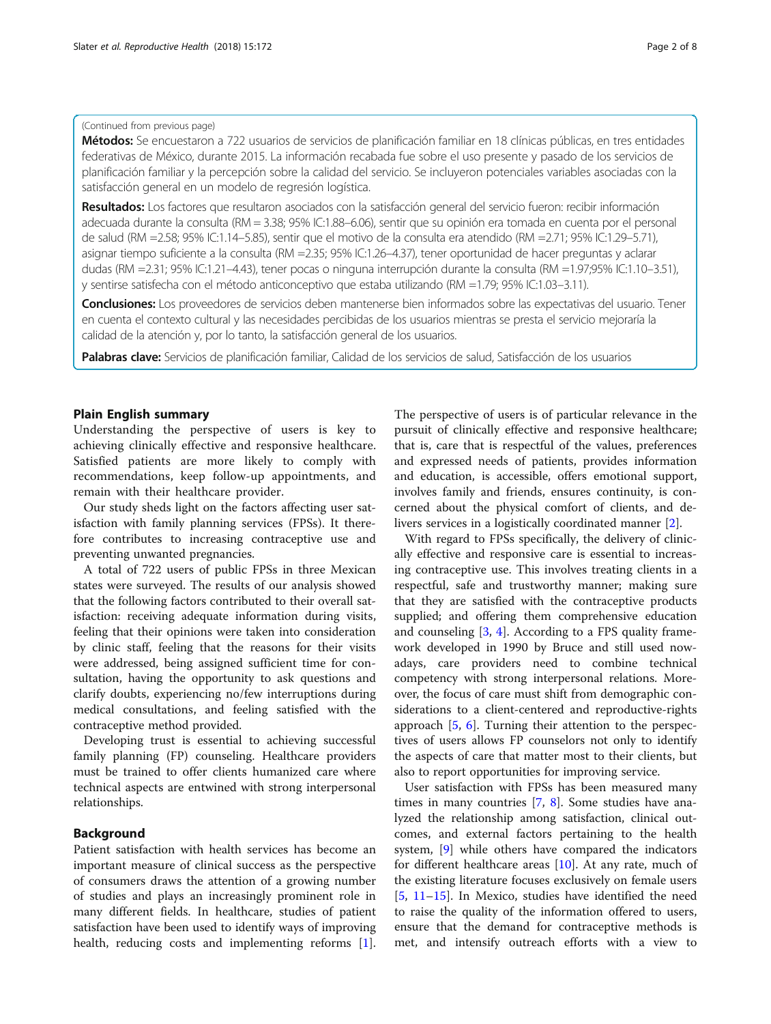# (Continued from previous page)

Métodos: Se encuestaron a 722 usuarios de servicios de planificación familiar en 18 clínicas públicas, en tres entidades federativas de México, durante 2015. La información recabada fue sobre el uso presente y pasado de los servicios de planificación familiar y la percepción sobre la calidad del servicio. Se incluyeron potenciales variables asociadas con la satisfacción general en un modelo de regresión logística.

Resultados: Los factores que resultaron asociados con la satisfacción general del servicio fueron: recibir información adecuada durante la consulta (RM = 3.38; 95% IC:1.88–6.06), sentir que su opinión era tomada en cuenta por el personal de salud (RM =2.58; 95% IC:1.14–5.85), sentir que el motivo de la consulta era atendido (RM =2.71; 95% IC:1.29–5.71), asignar tiempo suficiente a la consulta (RM =2.35; 95% IC:1.26–4.37), tener oportunidad de hacer preguntas y aclarar dudas (RM =2.31; 95% IC:1.21–4.43), tener pocas o ninguna interrupción durante la consulta (RM =1.97;95% IC:1.10–3.51), y sentirse satisfecha con el método anticonceptivo que estaba utilizando (RM =1.79; 95% IC:1.03–3.11).

Conclusiones: Los proveedores de servicios deben mantenerse bien informados sobre las expectativas del usuario. Tener en cuenta el contexto cultural y las necesidades percibidas de los usuarios mientras se presta el servicio mejoraría la calidad de la atención y, por lo tanto, la satisfacción general de los usuarios.

Palabras clave: Servicios de planificación familiar, Calidad de los servicios de salud, Satisfacción de los usuarios

# Plain English summary

Understanding the perspective of users is key to achieving clinically effective and responsive healthcare. Satisfied patients are more likely to comply with recommendations, keep follow-up appointments, and remain with their healthcare provider.

Our study sheds light on the factors affecting user satisfaction with family planning services (FPSs). It therefore contributes to increasing contraceptive use and preventing unwanted pregnancies.

A total of 722 users of public FPSs in three Mexican states were surveyed. The results of our analysis showed that the following factors contributed to their overall satisfaction: receiving adequate information during visits, feeling that their opinions were taken into consideration by clinic staff, feeling that the reasons for their visits were addressed, being assigned sufficient time for consultation, having the opportunity to ask questions and clarify doubts, experiencing no/few interruptions during medical consultations, and feeling satisfied with the contraceptive method provided.

Developing trust is essential to achieving successful family planning (FP) counseling. Healthcare providers must be trained to offer clients humanized care where technical aspects are entwined with strong interpersonal relationships.

# Background

Patient satisfaction with health services has become an important measure of clinical success as the perspective of consumers draws the attention of a growing number of studies and plays an increasingly prominent role in many different fields. In healthcare, studies of patient satisfaction have been used to identify ways of improving health, reducing costs and implementing reforms [\[1](#page-7-0)]. The perspective of users is of particular relevance in the pursuit of clinically effective and responsive healthcare; that is, care that is respectful of the values, preferences and expressed needs of patients, provides information and education, is accessible, offers emotional support, involves family and friends, ensures continuity, is concerned about the physical comfort of clients, and delivers services in a logistically coordinated manner [\[2\]](#page-7-0).

With regard to FPSs specifically, the delivery of clinically effective and responsive care is essential to increasing contraceptive use. This involves treating clients in a respectful, safe and trustworthy manner; making sure that they are satisfied with the contraceptive products supplied; and offering them comprehensive education and counseling [\[3](#page-7-0), [4](#page-7-0)]. According to a FPS quality framework developed in 1990 by Bruce and still used nowadays, care providers need to combine technical competency with strong interpersonal relations. Moreover, the focus of care must shift from demographic considerations to a client-centered and reproductive-rights approach [\[5](#page-7-0), [6](#page-7-0)]. Turning their attention to the perspectives of users allows FP counselors not only to identify the aspects of care that matter most to their clients, but also to report opportunities for improving service.

User satisfaction with FPSs has been measured many times in many countries [\[7](#page-7-0), [8](#page-7-0)]. Some studies have analyzed the relationship among satisfaction, clinical outcomes, and external factors pertaining to the health system, [\[9](#page-7-0)] while others have compared the indicators for different healthcare areas [[10](#page-7-0)]. At any rate, much of the existing literature focuses exclusively on female users [[5,](#page-7-0) [11](#page-7-0)–[15\]](#page-7-0). In Mexico, studies have identified the need to raise the quality of the information offered to users, ensure that the demand for contraceptive methods is met, and intensify outreach efforts with a view to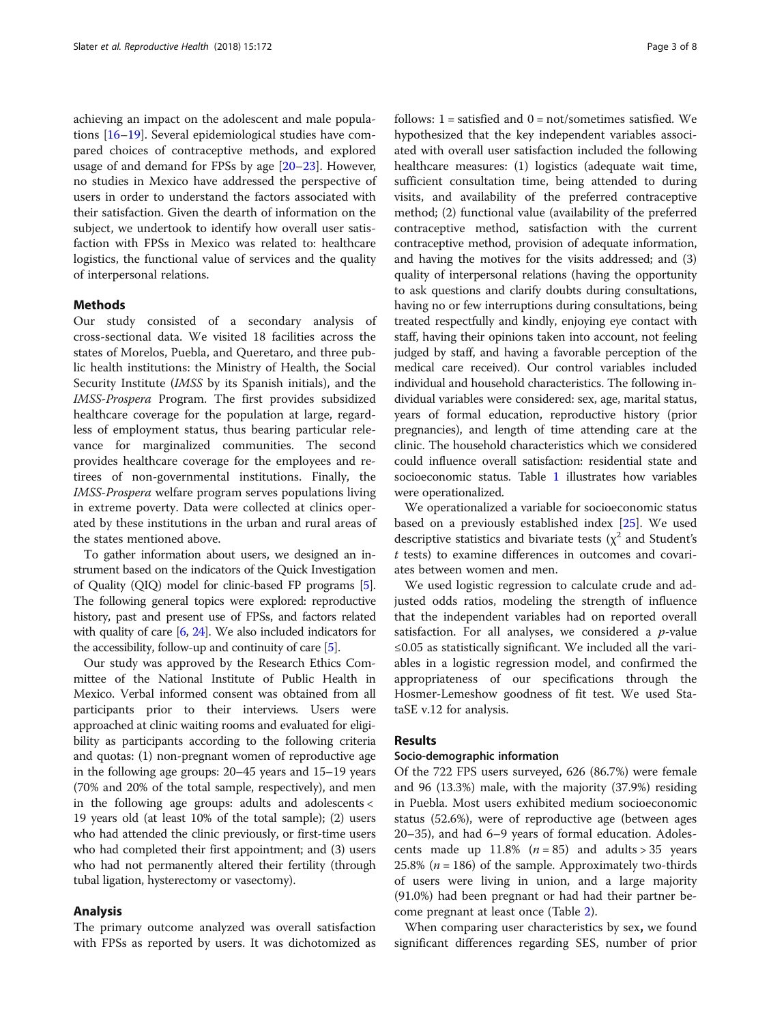achieving an impact on the adolescent and male populations [\[16](#page-7-0)–[19\]](#page-7-0). Several epidemiological studies have compared choices of contraceptive methods, and explored usage of and demand for FPSs by age [\[20](#page-7-0)–[23\]](#page-7-0). However, no studies in Mexico have addressed the perspective of users in order to understand the factors associated with their satisfaction. Given the dearth of information on the subject, we undertook to identify how overall user satisfaction with FPSs in Mexico was related to: healthcare logistics, the functional value of services and the quality of interpersonal relations.

#### Methods

Our study consisted of a secondary analysis of cross-sectional data. We visited 18 facilities across the states of Morelos, Puebla, and Queretaro, and three public health institutions: the Ministry of Health, the Social Security Institute (IMSS by its Spanish initials), and the IMSS-Prospera Program. The first provides subsidized healthcare coverage for the population at large, regardless of employment status, thus bearing particular relevance for marginalized communities. The second provides healthcare coverage for the employees and retirees of non-governmental institutions. Finally, the IMSS-Prospera welfare program serves populations living in extreme poverty. Data were collected at clinics operated by these institutions in the urban and rural areas of the states mentioned above.

To gather information about users, we designed an instrument based on the indicators of the Quick Investigation of Quality (QIQ) model for clinic-based FP programs [[5](#page-7-0)]. The following general topics were explored: reproductive history, past and present use of FPSs, and factors related with quality of care [\[6,](#page-7-0) [24](#page-7-0)]. We also included indicators for the accessibility, follow-up and continuity of care [\[5](#page-7-0)].

Our study was approved by the Research Ethics Committee of the National Institute of Public Health in Mexico. Verbal informed consent was obtained from all participants prior to their interviews. Users were approached at clinic waiting rooms and evaluated for eligibility as participants according to the following criteria and quotas: (1) non-pregnant women of reproductive age in the following age groups: 20–45 years and 15–19 years (70% and 20% of the total sample, respectively), and men in the following age groups: adults and adolescents < 19 years old (at least 10% of the total sample); (2) users who had attended the clinic previously, or first-time users who had completed their first appointment; and (3) users who had not permanently altered their fertility (through tubal ligation, hysterectomy or vasectomy).

# Analysis

The primary outcome analyzed was overall satisfaction with FPSs as reported by users. It was dichotomized as follows:  $1 =$  satisfied and  $0 =$  not/sometimes satisfied. We hypothesized that the key independent variables associated with overall user satisfaction included the following healthcare measures: (1) logistics (adequate wait time, sufficient consultation time, being attended to during visits, and availability of the preferred contraceptive method; (2) functional value (availability of the preferred contraceptive method, satisfaction with the current contraceptive method, provision of adequate information, and having the motives for the visits addressed; and (3) quality of interpersonal relations (having the opportunity to ask questions and clarify doubts during consultations, having no or few interruptions during consultations, being treated respectfully and kindly, enjoying eye contact with staff, having their opinions taken into account, not feeling judged by staff, and having a favorable perception of the medical care received). Our control variables included individual and household characteristics. The following individual variables were considered: sex, age, marital status, years of formal education, reproductive history (prior pregnancies), and length of time attending care at the clinic. The household characteristics which we considered could influence overall satisfaction: residential state and socioeconomic status. Table [1](#page-3-0) illustrates how variables were operationalized.

We operationalized a variable for socioeconomic status based on a previously established index [\[25](#page-7-0)]. We used descriptive statistics and bivariate tests  $(\chi^2$  and Student's t tests) to examine differences in outcomes and covariates between women and men.

We used logistic regression to calculate crude and adjusted odds ratios, modeling the strength of influence that the independent variables had on reported overall satisfaction. For all analyses, we considered a  $p$ -value ≤0.05 as statistically significant. We included all the variables in a logistic regression model, and confirmed the appropriateness of our specifications through the Hosmer-Lemeshow goodness of fit test. We used StataSE v.12 for analysis.

# Results

### Socio-demographic information

Of the 722 FPS users surveyed, 626 (86.7%) were female and 96 (13.3%) male, with the majority (37.9%) residing in Puebla. Most users exhibited medium socioeconomic status (52.6%), were of reproductive age (between ages 20–35), and had 6–9 years of formal education. Adolescents made up 11.8% ( $n = 85$ ) and adults > 35 years 25.8% ( $n = 186$ ) of the sample. Approximately two-thirds of users were living in union, and a large majority (91.0%) had been pregnant or had had their partner become pregnant at least once (Table [2](#page-4-0)).

When comparing user characteristics by sex, we found significant differences regarding SES, number of prior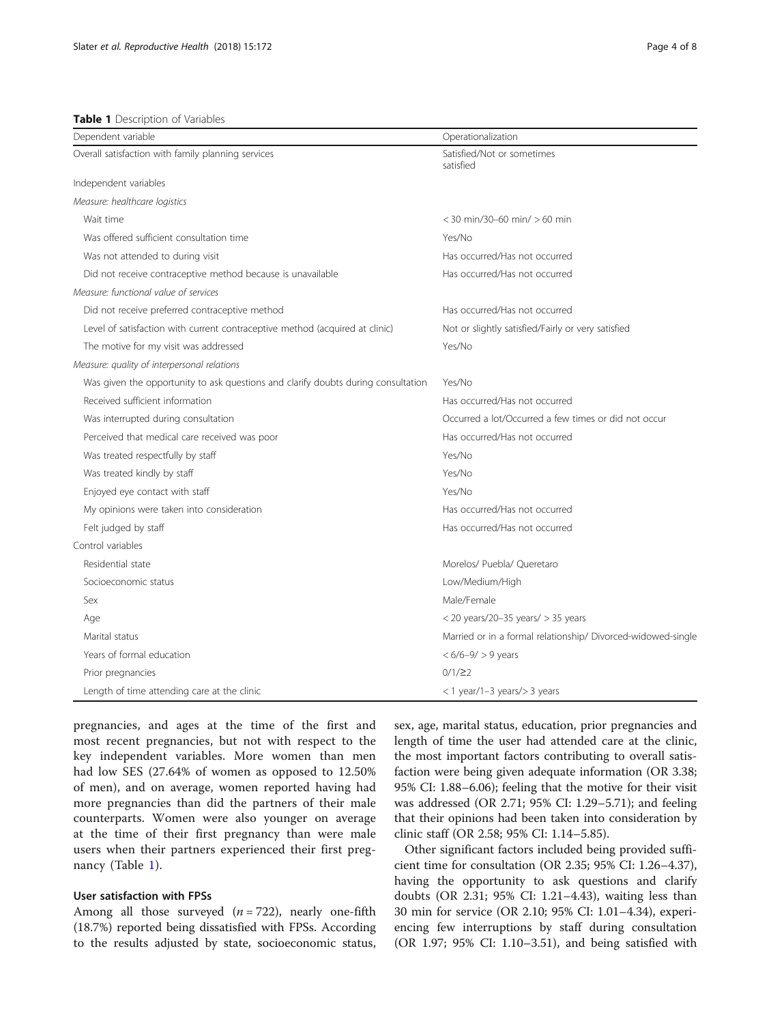<span id="page-3-0"></span>Table 1 Description of Variables

| Dependent variable                                                                | Operationalization                                           |  |  |
|-----------------------------------------------------------------------------------|--------------------------------------------------------------|--|--|
| Overall satisfaction with family planning services                                | Satisfied/Not or sometimes<br>satisfied                      |  |  |
| Independent variables                                                             |                                                              |  |  |
| Measure: healthcare logistics                                                     |                                                              |  |  |
| Wait time                                                                         | $<$ 30 min/30–60 min/ $>$ 60 min                             |  |  |
| Was offered sufficient consultation time                                          | Yes/No                                                       |  |  |
| Was not attended to during visit                                                  | Has occurred/Has not occurred                                |  |  |
| Did not receive contraceptive method because is unavailable                       | Has occurred/Has not occurred                                |  |  |
| Measure: functional value of services                                             |                                                              |  |  |
| Did not receive preferred contraceptive method                                    | Has occurred/Has not occurred                                |  |  |
| Level of satisfaction with current contraceptive method (acquired at clinic)      | Not or slightly satisfied/Fairly or very satisfied           |  |  |
| The motive for my visit was addressed                                             | Yes/No                                                       |  |  |
| Measure: quality of interpersonal relations                                       |                                                              |  |  |
| Was given the opportunity to ask questions and clarify doubts during consultation | Yes/No                                                       |  |  |
| Received sufficient information                                                   | Has occurred/Has not occurred                                |  |  |
| Was interrupted during consultation                                               | Occurred a lot/Occurred a few times or did not occur         |  |  |
| Perceived that medical care received was poor                                     | Has occurred/Has not occurred                                |  |  |
| Was treated respectfully by staff                                                 | Yes/No                                                       |  |  |
| Was treated kindly by staff                                                       | Yes/No                                                       |  |  |
| Enjoyed eye contact with staff                                                    | Yes/No                                                       |  |  |
| My opinions were taken into consideration                                         | Has occurred/Has not occurred                                |  |  |
| Felt judged by staff                                                              | Has occurred/Has not occurred                                |  |  |
| Control variables                                                                 |                                                              |  |  |
| Residential state                                                                 | Morelos/ Puebla/ Oueretaro                                   |  |  |
| Socioeconomic status                                                              | Low/Medium/High                                              |  |  |
| Sex                                                                               | Male/Female                                                  |  |  |
| Age                                                                               | < 20 years/20-35 years/ $>$ 35 years                         |  |  |
| Marital status                                                                    | Married or in a formal relationship/ Divorced-widowed-single |  |  |
| Years of formal education                                                         | $< 6/6 - 9/ > 9$ years                                       |  |  |
| Prior pregnancies                                                                 | 0/1/22                                                       |  |  |
| Length of time attending care at the clinic                                       | <1 year/1-3 years/>3 years                                   |  |  |

pregnancies, and ages at the time of the first and most recent pregnancies, but not with respect to the key independent variables. More women than men had low SES (27.64% of women as opposed to 12.50% of men), and on average, women reported having had more pregnancies than did the partners of their male counterparts. Women were also younger on average at the time of their first pregnancy than were male users when their partners experienced their first pregnancy (Table 1).

# User satisfaction with FPSs

Among all those surveyed  $(n = 722)$ , nearly one-fifth (18.7%) reported being dissatisfied with FPSs. According to the results adjusted by state, socioeconomic status,

sex, age, marital status, education, prior pregnancies and length of time the user had attended care at the clinic, the most important factors contributing to overall satisfaction were being given adequate information (OR 3.38; 95% CI: 1.88–6.06); feeling that the motive for their visit was addressed (OR 2.71; 95% CI: 1.29–5.71); and feeling that their opinions had been taken into consideration by clinic staff (OR 2.58; 95% CI: 1.14–5.85).

Other significant factors included being provided sufficient time for consultation (OR 2.35; 95% CI: 1.26–4.37), having the opportunity to ask questions and clarify doubts (OR 2.31; 95% CI: 1.21–4.43), waiting less than 30 min for service (OR 2.10; 95% CI: 1.01–4.34), experiencing few interruptions by staff during consultation (OR 1.97; 95% CI: 1.10–3.51), and being satisfied with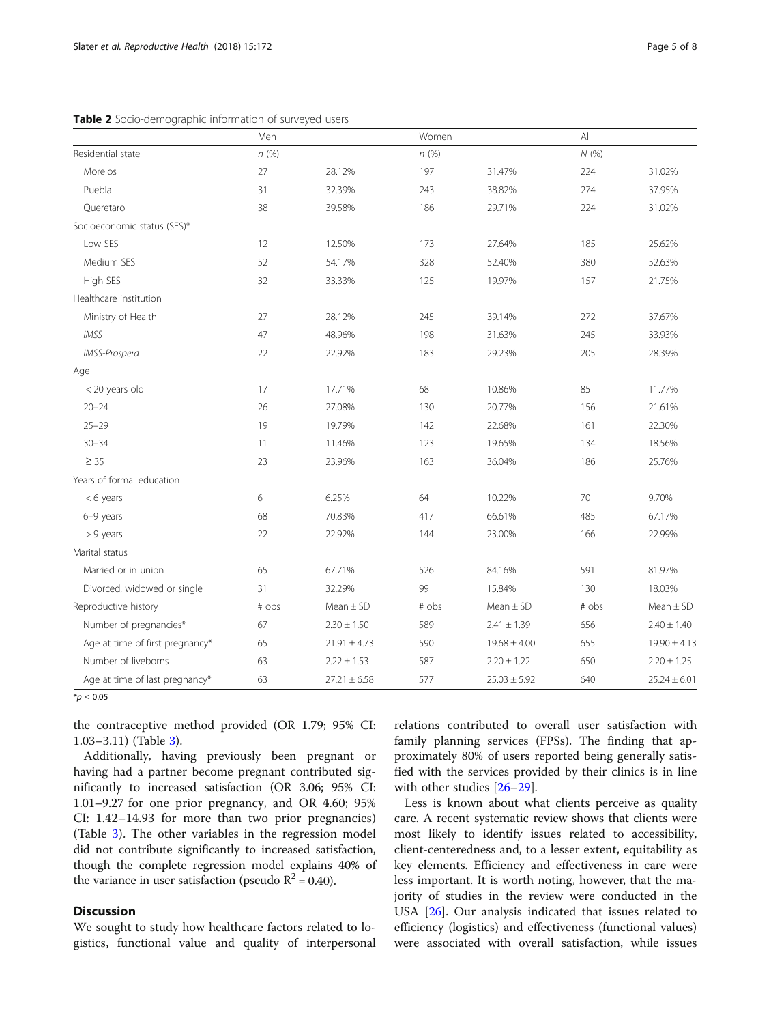<span id="page-4-0"></span>Table 2 Socio-demographic information of surveyed users

|                                 | Men   |                  |       | Women            |       | All              |  |
|---------------------------------|-------|------------------|-------|------------------|-------|------------------|--|
| Residential state               | n(%)  |                  |       |                  | N(%)  |                  |  |
| Morelos                         | 27    | 28.12%           | 197   | 31.47%           | 224   | 31.02%           |  |
| Puebla                          | 31    | 32.39%           | 243   | 38.82%           | 274   | 37.95%           |  |
| Queretaro                       | 38    | 39.58%           | 186   | 29.71%           | 224   | 31.02%           |  |
| Socioeconomic status (SES)*     |       |                  |       |                  |       |                  |  |
| Low SES                         | 12    | 12.50%           | 173   | 27.64%           | 185   | 25.62%           |  |
| Medium SES                      | 52    | 54.17%           | 328   | 52.40%           | 380   | 52.63%           |  |
| High SES                        | 32    | 33.33%           | 125   | 19.97%           | 157   | 21.75%           |  |
| Healthcare institution          |       |                  |       |                  |       |                  |  |
| Ministry of Health              | 27    | 28.12%           | 245   | 39.14%           | 272   | 37.67%           |  |
| IMSS                            | 47    | 48.96%           | 198   | 31.63%           | 245   | 33.93%           |  |
| IMSS-Prospera                   | 22    | 22.92%           | 183   | 29.23%           | 205   | 28.39%           |  |
| Age                             |       |                  |       |                  |       |                  |  |
| < 20 years old                  | 17    | 17.71%           | 68    | 10.86%           | 85    | 11.77%           |  |
| $20 - 24$                       | 26    | 27.08%           | 130   | 20.77%           | 156   | 21.61%           |  |
| $25 - 29$                       | 19    | 19.79%           | 142   | 22.68%           | 161   | 22.30%           |  |
| $30 - 34$                       | 11    | 11.46%           | 123   | 19.65%           | 134   | 18.56%           |  |
| $\geq 35$                       | 23    | 23.96%           | 163   | 36.04%           | 186   | 25.76%           |  |
| Years of formal education       |       |                  |       |                  |       |                  |  |
| <6 years                        | 6     | 6.25%            | 64    | 10.22%           | 70    | 9.70%            |  |
| 6-9 years                       | 68    | 70.83%           | 417   | 66.61%           | 485   | 67.17%           |  |
| > 9 years                       | 22    | 22.92%           | 144   | 23.00%           | 166   | 22.99%           |  |
| Marital status                  |       |                  |       |                  |       |                  |  |
| Married or in union             | 65    | 67.71%           | 526   | 84.16%           | 591   | 81.97%           |  |
| Divorced, widowed or single     | 31    | 32.29%           | 99    | 15.84%           | 130   | 18.03%           |  |
| Reproductive history            | # obs | $Mean \pm SD$    | # obs | $Mean \pm SD$    | # obs | Mean $\pm$ SD    |  |
| Number of pregnancies*          | 67    | $2.30 \pm 1.50$  | 589   | $2.41 \pm 1.39$  | 656   | $2.40 \pm 1.40$  |  |
| Age at time of first pregnancy* | 65    | $21.91 \pm 4.73$ | 590   | $19.68 \pm 4.00$ | 655   | $19.90 \pm 4.13$ |  |
| Number of liveborns             | 63    | $2.22 \pm 1.53$  | 587   | $2.20 \pm 1.22$  | 650   | $2.20 \pm 1.25$  |  |
| Age at time of last pregnancy*  | 63    | $27.21 \pm 6.58$ | 577   | $25.03 \pm 5.92$ | 640   | $25.24 \pm 6.01$ |  |

\*p ≤ 0.05

the contraceptive method provided (OR 1.79; 95% CI: 1.03–3.11) (Table [3\)](#page-5-0).

Additionally, having previously been pregnant or having had a partner become pregnant contributed significantly to increased satisfaction (OR 3.06; 95% CI: 1.01–9.27 for one prior pregnancy, and OR 4.60; 95% CI: 1.42–14.93 for more than two prior pregnancies) (Table [3\)](#page-5-0). The other variables in the regression model did not contribute significantly to increased satisfaction, though the complete regression model explains 40% of the variance in user satisfaction (pseudo  $R^2 = 0.40$ ).

# **Discussion**

We sought to study how healthcare factors related to logistics, functional value and quality of interpersonal

relations contributed to overall user satisfaction with family planning services (FPSs). The finding that approximately 80% of users reported being generally satisfied with the services provided by their clinics is in line with other studies [\[26](#page-7-0)–[29](#page-7-0)].

Less is known about what clients perceive as quality care. A recent systematic review shows that clients were most likely to identify issues related to accessibility, client-centeredness and, to a lesser extent, equitability as key elements. Efficiency and effectiveness in care were less important. It is worth noting, however, that the majority of studies in the review were conducted in the USA [\[26](#page-7-0)]. Our analysis indicated that issues related to efficiency (logistics) and effectiveness (functional values) were associated with overall satisfaction, while issues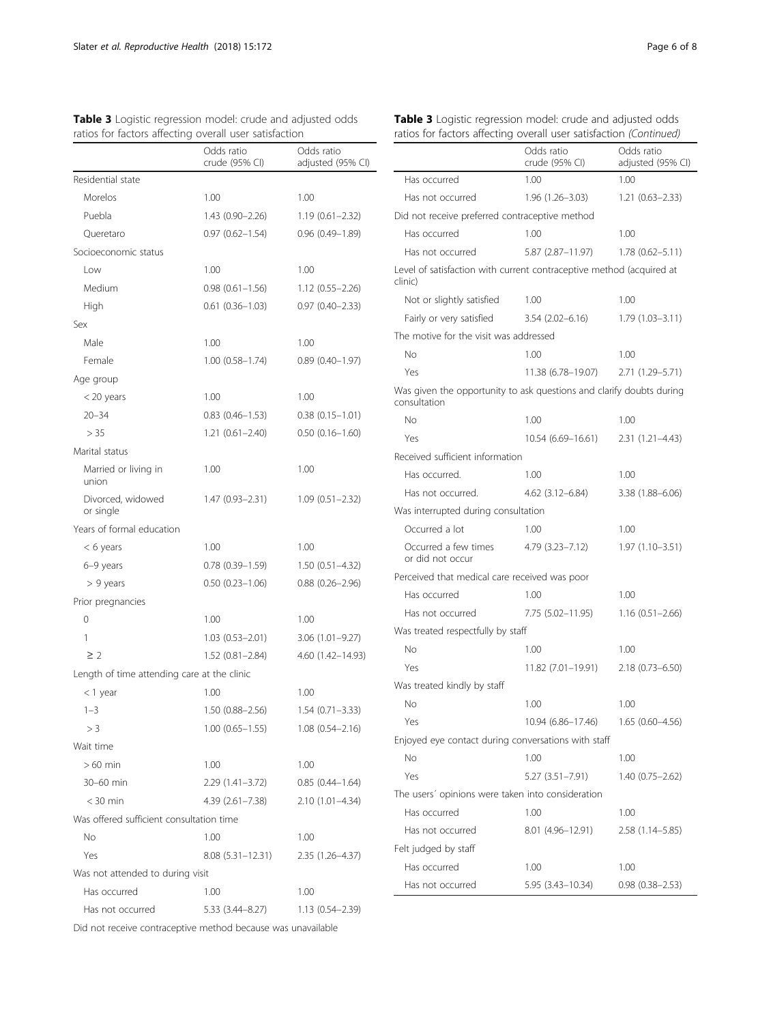|                                             |                                              | ratios for factors affecting overall user satisfaction |  |  |
|---------------------------------------------|----------------------------------------------|--------------------------------------------------------|--|--|
|                                             | Odds ratio<br>crude (95% CI)                 | Odds ratio<br>adjusted (95% CI)                        |  |  |
| Residential state                           |                                              |                                                        |  |  |
| Morelos                                     | 1.00                                         | 1.00                                                   |  |  |
| Puebla                                      | $1.43(0.90 - 2.26)$                          | $1.19(0.61 - 2.32)$                                    |  |  |
| Queretaro                                   | $0.97(0.62 - 1.54)$                          | $0.96(0.49 - 1.89)$                                    |  |  |
| Socioeconomic status                        |                                              |                                                        |  |  |
| Low                                         | 1.00                                         | 1.00                                                   |  |  |
| Medium                                      | $0.98(0.61 - 1.56)$                          | $1.12(0.55 - 2.26)$                                    |  |  |
| High                                        | $0.61(0.36 - 1.03)$                          | $0.97(0.40 - 2.33)$                                    |  |  |
| Sex                                         |                                              |                                                        |  |  |
| Male                                        | 1.00                                         | 1.00                                                   |  |  |
| Female                                      | $1.00(0.58 - 1.74)$                          | $0.89(0.40-1.97)$                                      |  |  |
| Age group                                   |                                              |                                                        |  |  |
| $<$ 20 years                                | 1.00                                         | 1.00                                                   |  |  |
| $20 - 34$                                   | $0.83(0.46 - 1.53)$                          | $0.38(0.15 - 1.01)$                                    |  |  |
| > 35                                        | $1.21(0.61 - 2.40)$                          | $0.50(0.16 - 1.60)$                                    |  |  |
| Marital status                              |                                              |                                                        |  |  |
| Married or living in<br>union               | 1.00                                         | 1.00                                                   |  |  |
| Divorced, widowed<br>or single              | $1.47(0.93 - 2.31)$                          | $1.09(0.51 - 2.32)$                                    |  |  |
| Years of formal education                   |                                              |                                                        |  |  |
| $< 6$ years                                 | 1.00                                         | 1.00                                                   |  |  |
| 6–9 years                                   | $0.78(0.39-1.59)$                            | $1.50(0.51 - 4.32)$                                    |  |  |
| $> 9$ years                                 | $0.50(0.23 - 1.06)$                          | $0.88(0.26 - 2.96)$                                    |  |  |
| Prior pregnancies                           |                                              |                                                        |  |  |
| 0                                           | 1.00                                         | 1.00                                                   |  |  |
| 1                                           | $1.03(0.53 - 2.01)$                          | $3.06(1.01 - 9.27)$                                    |  |  |
| $\geq$ 2                                    | $1.52(0.81 - 2.84)$                          | 4.60 (1.42–14.93)                                      |  |  |
| Length of time attending care at the clinic |                                              |                                                        |  |  |
| < 1 year                                    | 1.00                                         | 1.00                                                   |  |  |
| 1–3                                         | 1.50 (0.88-2.56)                             | $1.54(0.71 - 3.33)$                                    |  |  |
| > 3                                         | $1.00(0.65 - 1.55)$                          | $1.08(0.54 - 2.16)$                                    |  |  |
| Wait time                                   |                                              |                                                        |  |  |
| $>60$ min                                   | 1.00                                         | 1.00                                                   |  |  |
| 30-60 min                                   | 2.29 (1.41-3.72)                             | $0.85(0.44 - 1.64)$                                    |  |  |
| $<$ 30 min                                  | 4.39 (2.61–7.38)                             | $2.10(1.01 - 4.34)$                                    |  |  |
| Was offered sufficient consultation time    |                                              |                                                        |  |  |
| No                                          | 1.00                                         | 1.00                                                   |  |  |
| Yes                                         | 8.08 (5.31-12.31)                            | 2.35 (1.26–4.37)                                       |  |  |
| Was not attended to during visit            |                                              |                                                        |  |  |
| Has occurred                                | 1.00                                         | 1.00                                                   |  |  |
| Has not occurred                            | 5.33 (3.44–8.27)                             | $1.13(0.54 - 2.39)$                                    |  |  |
|                                             | contracontius mothed because was unaugilable |                                                        |  |  |

<span id="page-5-0"></span>

| Table 3 Logistic regression model: crude and adjusted odds | Ta  |
|------------------------------------------------------------|-----|
| ratios for factors affecting overall user satisfaction     | rat |

|                                                                                      | Odds ratio<br>crude (95% CI) | Odds ratio<br>adjusted (95% CI) |
|--------------------------------------------------------------------------------------|------------------------------|---------------------------------|
| Has occurred                                                                         | 1.00                         | 1.00                            |
| Has not occurred                                                                     | $1.96(1.26 - 3.03)$          | $1.21(0.63 - 2.33)$             |
| Did not receive preferred contraceptive method                                       |                              |                                 |
| Has occurred                                                                         | 1.00                         | 1.00                            |
| Has not occurred                                                                     | 5.87 (2.87-11.97)            | $1.78(0.62 - 5.11)$             |
| Level of satisfaction with current contraceptive method (acquired at<br>clinic)      |                              |                                 |
| Not or slightly satisfied                                                            | 1.00                         | 1.00                            |
| Fairly or very satisfied                                                             | $3.54(2.02 - 6.16)$          | $1.79(1.03 - 3.11)$             |
| The motive for the visit was addressed                                               |                              |                                 |
| No                                                                                   | 1.00                         | 1.00                            |
| Yes                                                                                  | 11.38 (6.78–19.07)           | 2.71 (1.29–5.71)                |
| Was given the opportunity to ask questions and clarify doubts during<br>consultation |                              |                                 |
| No                                                                                   | 1.00                         | 1.00                            |
| Yes                                                                                  | 10.54 (6.69–16.61)           | $2.31(1.21 - 4.43)$             |
| Received sufficient information                                                      |                              |                                 |
| Has occurred.                                                                        | 1.00                         | 1.00                            |
| Has not occurred.                                                                    | $4.62$ $(3.12 - 6.84)$       | $3.38(1.88 - 6.06)$             |
| Was interrupted during consultation                                                  |                              |                                 |
| Occurred a lot                                                                       | 1.00                         | 1.00                            |
| Occurred a few times<br>or did not occur                                             | 4.79 (3.23–7.12)             | $1.97(1.10-3.51)$               |
| Perceived that medical care received was poor                                        |                              |                                 |
| Has occurred                                                                         | 1.00                         | 1.00                            |
| Has not occurred                                                                     | 7.75 (5.02-11.95)            | $1.16(0.51 - 2.66)$             |
| Was treated respectfully by staff                                                    |                              |                                 |
| No                                                                                   | 1.00                         | 1.00                            |
| Yes                                                                                  | 11.82 (7.01–19.91)           | $2.18(0.73 - 6.50)$             |
| Was treated kindly by staff                                                          |                              |                                 |
| No                                                                                   | 1.00                         | 1.00                            |
| Yes                                                                                  | 10.94 (6.86-17.46)           | $1.65(0.60-4.56)$               |
| Enjoyed eye contact during conversations with staff                                  |                              |                                 |
| No                                                                                   | 1.00                         | 1.00                            |
| Yes                                                                                  | 5.27 (3.51-7.91)             | $1.40(0.75 - 2.62)$             |
| The users' opinions were taken into consideration                                    |                              |                                 |
| Has occurred                                                                         | 1.00                         | 1.00                            |
| Has not occurred                                                                     | 8.01 (4.96-12.91)            | 2.58 (1.14–5.85)                |
| Felt judged by staff                                                                 |                              |                                 |
| Has occurred                                                                         | 1.00                         | 1.00                            |
| Has not occurred                                                                     | 5.95 (3.43–10.34)            | $0.98(0.38 - 2.53)$             |

Table 3 Logistic regression model: crude and adjusted odds ratios for factors affecting overall user satisfaction (Continued)

Did not receive contraceptive method because was unavailable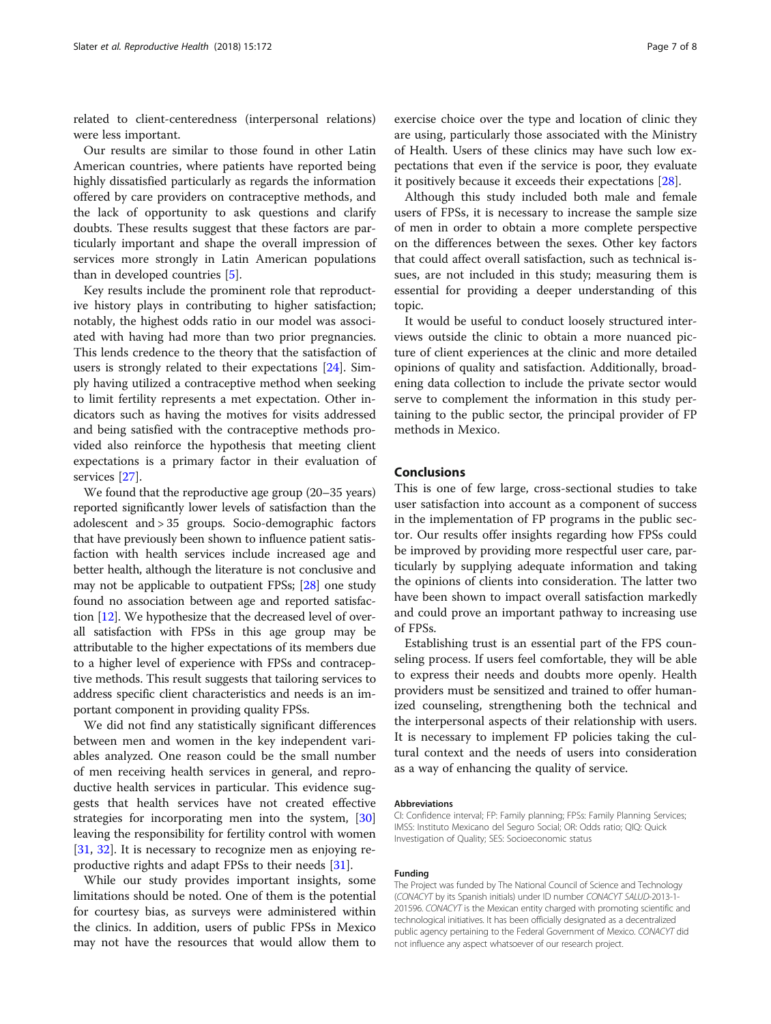related to client-centeredness (interpersonal relations) were less important.

Our results are similar to those found in other Latin American countries, where patients have reported being highly dissatisfied particularly as regards the information offered by care providers on contraceptive methods, and the lack of opportunity to ask questions and clarify doubts. These results suggest that these factors are particularly important and shape the overall impression of services more strongly in Latin American populations than in developed countries [[5\]](#page-7-0).

Key results include the prominent role that reproductive history plays in contributing to higher satisfaction; notably, the highest odds ratio in our model was associated with having had more than two prior pregnancies. This lends credence to the theory that the satisfaction of users is strongly related to their expectations [\[24](#page-7-0)]. Simply having utilized a contraceptive method when seeking to limit fertility represents a met expectation. Other indicators such as having the motives for visits addressed and being satisfied with the contraceptive methods provided also reinforce the hypothesis that meeting client expectations is a primary factor in their evaluation of services [[27](#page-7-0)].

We found that the reproductive age group (20–35 years) reported significantly lower levels of satisfaction than the adolescent and > 35 groups. Socio-demographic factors that have previously been shown to influence patient satisfaction with health services include increased age and better health, although the literature is not conclusive and may not be applicable to outpatient FPSs; [\[28](#page-7-0)] one study found no association between age and reported satisfaction [\[12](#page-7-0)]. We hypothesize that the decreased level of overall satisfaction with FPSs in this age group may be attributable to the higher expectations of its members due to a higher level of experience with FPSs and contraceptive methods. This result suggests that tailoring services to address specific client characteristics and needs is an important component in providing quality FPSs.

We did not find any statistically significant differences between men and women in the key independent variables analyzed. One reason could be the small number of men receiving health services in general, and reproductive health services in particular. This evidence suggests that health services have not created effective strategies for incorporating men into the system, [[30](#page-7-0)] leaving the responsibility for fertility control with women [[31,](#page-7-0) [32\]](#page-7-0). It is necessary to recognize men as enjoying reproductive rights and adapt FPSs to their needs [[31\]](#page-7-0).

While our study provides important insights, some limitations should be noted. One of them is the potential for courtesy bias, as surveys were administered within the clinics. In addition, users of public FPSs in Mexico may not have the resources that would allow them to exercise choice over the type and location of clinic they are using, particularly those associated with the Ministry of Health. Users of these clinics may have such low expectations that even if the service is poor, they evaluate it positively because it exceeds their expectations [\[28](#page-7-0)].

Although this study included both male and female users of FPSs, it is necessary to increase the sample size of men in order to obtain a more complete perspective on the differences between the sexes. Other key factors that could affect overall satisfaction, such as technical issues, are not included in this study; measuring them is essential for providing a deeper understanding of this topic.

It would be useful to conduct loosely structured interviews outside the clinic to obtain a more nuanced picture of client experiences at the clinic and more detailed opinions of quality and satisfaction. Additionally, broadening data collection to include the private sector would serve to complement the information in this study pertaining to the public sector, the principal provider of FP methods in Mexico.

# Conclusions

This is one of few large, cross-sectional studies to take user satisfaction into account as a component of success in the implementation of FP programs in the public sector. Our results offer insights regarding how FPSs could be improved by providing more respectful user care, particularly by supplying adequate information and taking the opinions of clients into consideration. The latter two have been shown to impact overall satisfaction markedly and could prove an important pathway to increasing use of FPSs.

Establishing trust is an essential part of the FPS counseling process. If users feel comfortable, they will be able to express their needs and doubts more openly. Health providers must be sensitized and trained to offer humanized counseling, strengthening both the technical and the interpersonal aspects of their relationship with users. It is necessary to implement FP policies taking the cultural context and the needs of users into consideration as a way of enhancing the quality of service.

#### Abbreviations

#### Funding

The Project was funded by The National Council of Science and Technology (CONACYT by its Spanish initials) under ID number CONACYT SALUD-2013-1- 201596. CONACYT is the Mexican entity charged with promoting scientific and technological initiatives. It has been officially designated as a decentralized public agency pertaining to the Federal Government of Mexico. CONACYT did not influence any aspect whatsoever of our research project.

CI: Confidence interval; FP: Family planning; FPSs: Family Planning Services; IMSS: Instituto Mexicano del Seguro Social; OR: Odds ratio; QIQ: Quick Investigation of Quality; SES: Socioeconomic status